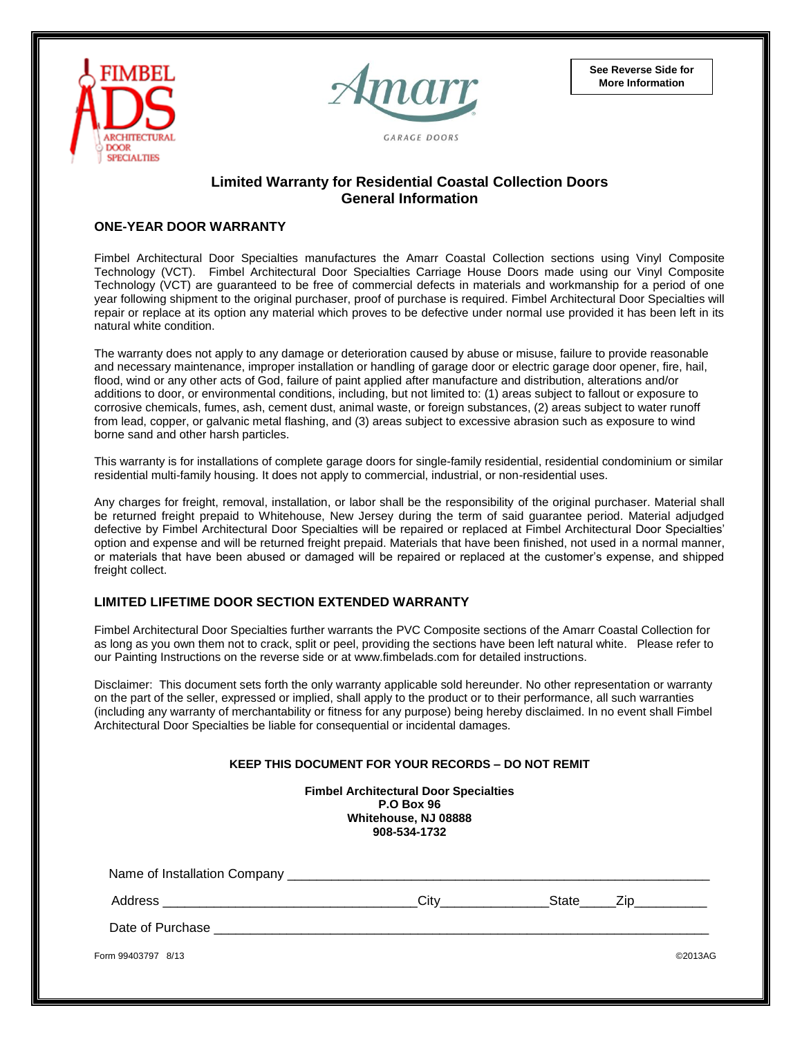



**See Reverse Side for More Information**

# **Limited Warranty for Residential Coastal Collection Doors General Information**

## **ONE-YEAR DOOR WARRANTY**

Fimbel Architectural Door Specialties manufactures the Amarr Coastal Collection sections using Vinyl Composite Technology (VCT). Fimbel Architectural Door Specialties Carriage House Doors made using our Vinyl Composite Technology (VCT) are guaranteed to be free of commercial defects in materials and workmanship for a period of one year following shipment to the original purchaser, proof of purchase is required. Fimbel Architectural Door Specialties will repair or replace at its option any material which proves to be defective under normal use provided it has been left in its natural white condition.

The warranty does not apply to any damage or deterioration caused by abuse or misuse, failure to provide reasonable and necessary maintenance, improper installation or handling of garage door or electric garage door opener, fire, hail, flood, wind or any other acts of God, failure of paint applied after manufacture and distribution, alterations and/or additions to door, or environmental conditions, including, but not limited to: (1) areas subject to fallout or exposure to corrosive chemicals, fumes, ash, cement dust, animal waste, or foreign substances, (2) areas subject to water runoff from lead, copper, or galvanic metal flashing, and (3) areas subject to excessive abrasion such as exposure to wind borne sand and other harsh particles.

This warranty is for installations of complete garage doors for single-family residential, residential condominium or similar residential multi-family housing. It does not apply to commercial, industrial, or non-residential uses.

Any charges for freight, removal, installation, or labor shall be the responsibility of the original purchaser. Material shall be returned freight prepaid to Whitehouse, New Jersey during the term of said guarantee period. Material adjudged defective by Fimbel Architectural Door Specialties will be repaired or replaced at Fimbel Architectural Door Specialties' option and expense and will be returned freight prepaid. Materials that have been finished, not used in a normal manner, or materials that have been abused or damaged will be repaired or replaced at the customer's expense, and shipped freight collect.

## **LIMITED LIFETIME DOOR SECTION EXTENDED WARRANTY**

Fimbel Architectural Door Specialties further warrants the PVC Composite sections of the Amarr Coastal Collection for as long as you own them not to crack, split or peel, providing the sections have been left natural white. Please refer to our Painting Instructions on the reverse side or at www.fimbelads.com for detailed instructions.

Disclaimer: This document sets forth the only warranty applicable sold hereunder. No other representation or warranty on the part of the seller, expressed or implied, shall apply to the product or to their performance, all such warranties (including any warranty of merchantability or fitness for any purpose) being hereby disclaimed. In no event shall Fimbel Architectural Door Specialties be liable for consequential or incidental damages.

| <b>KEEP THIS DOCUMENT FOR YOUR RECORDS – DO NOT REMIT</b> |                                                                                                           |  |  |         |
|-----------------------------------------------------------|-----------------------------------------------------------------------------------------------------------|--|--|---------|
|                                                           | <b>Fimbel Architectural Door Specialties</b><br><b>P.O Box 96</b><br>Whitehouse, NJ 08888<br>908-534-1732 |  |  |         |
|                                                           |                                                                                                           |  |  |         |
|                                                           | City State Zip                                                                                            |  |  |         |
|                                                           |                                                                                                           |  |  |         |
| Form 99403797 8/13                                        |                                                                                                           |  |  | ©2013AG |